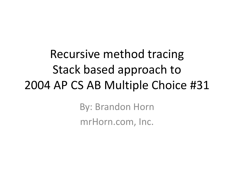Recursive method tracing Stack based approach to 2004 AP CS AB Multiple Choice #31

> By: Brandon Horn mrHorn.com, Inc.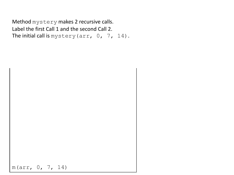Method mystery makes 2 recursive calls. Label the first Call 1 and the second Call 2. The initial call is mystery (arr,  $0, 7, 14$ ).

m(arr, 0, 7, 14)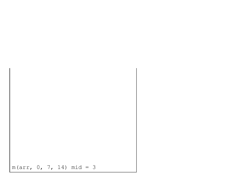$$
\begin{array}{cccc}\n & & \\
 & & \\
 & & \\
 m & (arr, 0, 7, 14) & m id = 3\n \end{array}
$$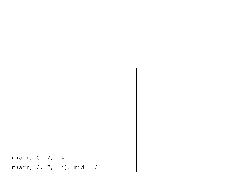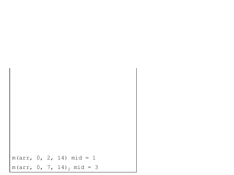$m(arr, 0, 2, 14)$  mid = 1  $m(arr, 0, 7, 14)$ <sub>2</sub> mid = 3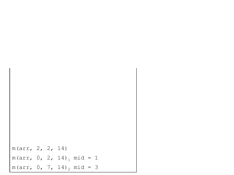m(arr, 2, 2, 14)  $m(arr, 0, 2, 14)$ <sub>1</sub>  $mid = 1$  $m(arr, 0, 7, 14)$ <sub>2</sub> mid = 3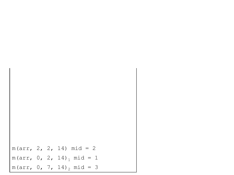$m(arr, 2, 2, 14)$   $mid = 2$  $m(arr, 0, 2, 14)$ <sub>1</sub>  $mid = 1$  $m(arr, 0, 7, 14)$ <sub>2</sub> mid = 3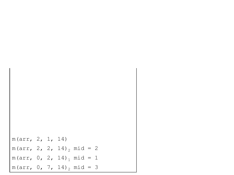m(arr, 2, 1, 14)  $m(arr, 2, 2, 14)$ <sub>2</sub> mid = 2  $m(arr, 0, 2, 14)$ <sub>1</sub> mid = 1  $m(arr, 0, 7, 14)$ <sub>2</sub> mid = 3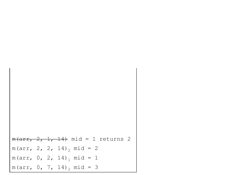$m(arr, 2, 1, 14)$  mid = 1 returns 2  $m(arr, 2, 2, 14)$ <sub>2</sub> mid = 2  $m(arr, 0, 2, 14)$ <sub>1</sub> mid = 1  $m(arr, 0, 7, 14)$ <sub>2</sub> mid = 3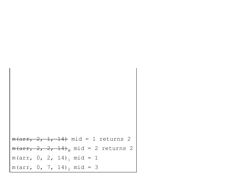$m(\text{arr}, 2, 1, 14)$  mid = 1 returns 2  $m(arr, 2, 2, 14)_{2}$  mid = 2 returns 2  $m(arr, 0, 2, 14)$ <sub>1</sub> mid = 1  $m(arr, 0, 7, 14)$ <sub>2</sub> mid = 3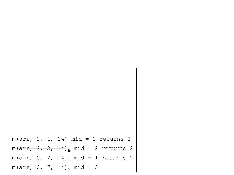$$
\begin{array}{ll}\n\text{m(arr, 2, 1, 14) mid = 1 returns 2} \\
\text{m(arr, 2, 2, 14)}_2 \text{ mid = 2 returns 2} \\
\text{m(arr, 0, 2, 14)}_1 \text{ mid = 1 returns 2} \\
\text{m(arr, 0, 7, 14)}_2 \text{ mid = 3}\n\end{array}
$$